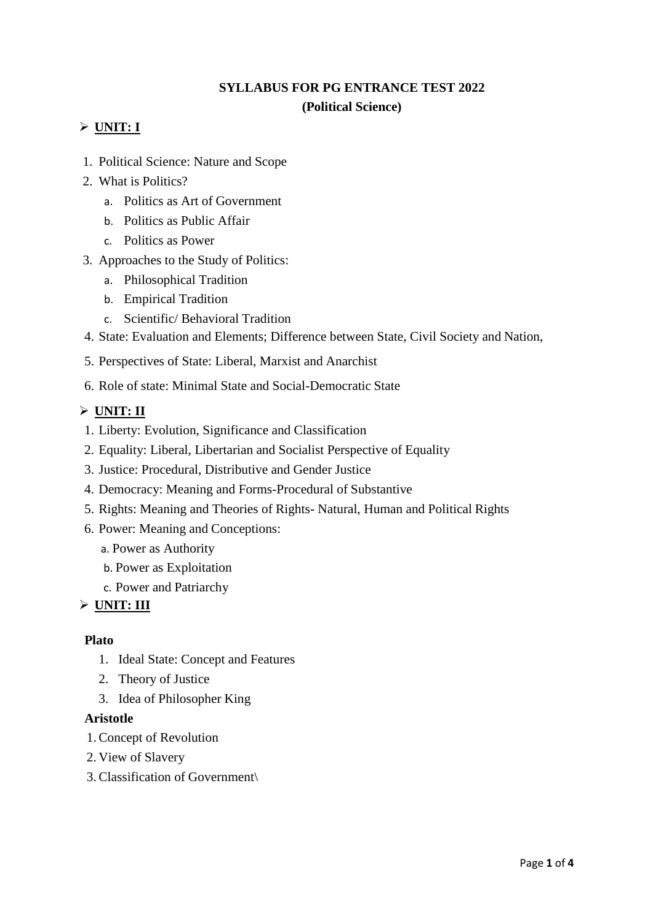# **SYLLABUS FOR PG ENTRANCE TEST 2022 (Political Science)**

# $\triangleright$  **UNIT: I**

- 1. Political Science: Nature and Scope
- 2. What is Politics?
	- a. Politics as Art of Government
	- b. Politics as Public Affair
	- c. Politics as Power
- 3. Approaches to the Study of Politics:
	- a. Philosophical Tradition
	- b. Empirical Tradition
	- c. Scientific/ Behavioral Tradition
- 4. State: Evaluation and Elements; Difference between State, Civil Society and Nation,
- 5. Perspectives of State: Liberal, Marxist and Anarchist
- 6. Role of state: Minimal State and Social-Democratic State

### **UNIT: II**

- 1. Liberty: Evolution, Significance and Classification
- 2. Equality: Liberal, Libertarian and Socialist Perspective of Equality
- 3. Justice: Procedural, Distributive and Gender Justice
- 4. Democracy: Meaning and Forms-Procedural of Substantive
- 5. Rights: Meaning and Theories of Rights- Natural, Human and Political Rights
- 6. Power: Meaning and Conceptions:
	- a. Power as Authority
	- b. Power as Exploitation
	- c. Power and Patriarchy

# **UNIT: III**

#### **Plato**

- 1. Ideal State: Concept and Features
- 2. Theory of Justice
- 3. Idea of Philosopher King

#### **Aristotle**

- 1.Concept of Revolution
- 2. View of Slavery
- 3.Classification of Government\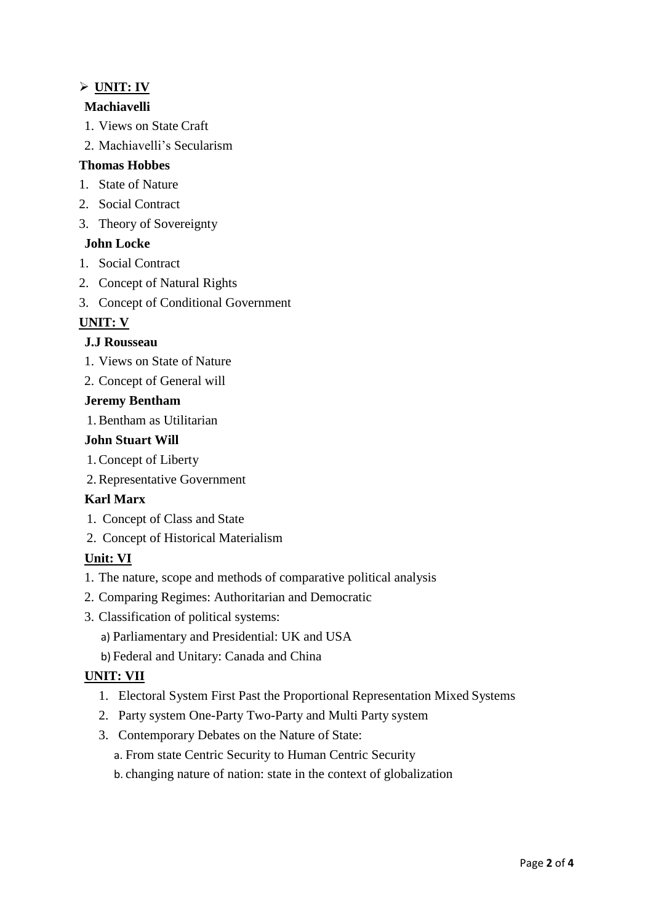# **UNIT: IV**

## **Machiavelli**

- 1. Views on State Craft
- 2. Machiavelli's Secularism

### **Thomas Hobbes**

- 1. State of Nature
- 2. Social Contract
- 3. Theory of Sovereignty

### **John Locke**

- 1. Social Contract
- 2. Concept of Natural Rights
- 3. Concept of Conditional Government

### **UNIT: V**

### **J.J Rousseau**

- 1. Views on State of Nature
- 2. Concept of General will

#### **Jeremy Bentham**

1.Bentham as Utilitarian

#### **John Stuart Will**

- 1.Concept of Liberty
- 2.Representative Government

#### **Karl Marx**

- 1. Concept of Class and State
- 2. Concept of Historical Materialism

#### **Unit: VI**

- 1. The nature, scope and methods of comparative political analysis
- 2. Comparing Regimes: Authoritarian and Democratic
- 3. Classification of political systems:
	- a) Parliamentary and Presidential: UK and USA
	- b) Federal and Unitary: Canada and China

#### **UNIT: VII**

- 1. Electoral System First Past the Proportional Representation Mixed Systems
- 2. Party system One-Party Two-Party and Multi Party system
- 3. Contemporary Debates on the Nature of State:
	- a. From state Centric Security to Human Centric Security
	- b. changing nature of nation: state in the context of globalization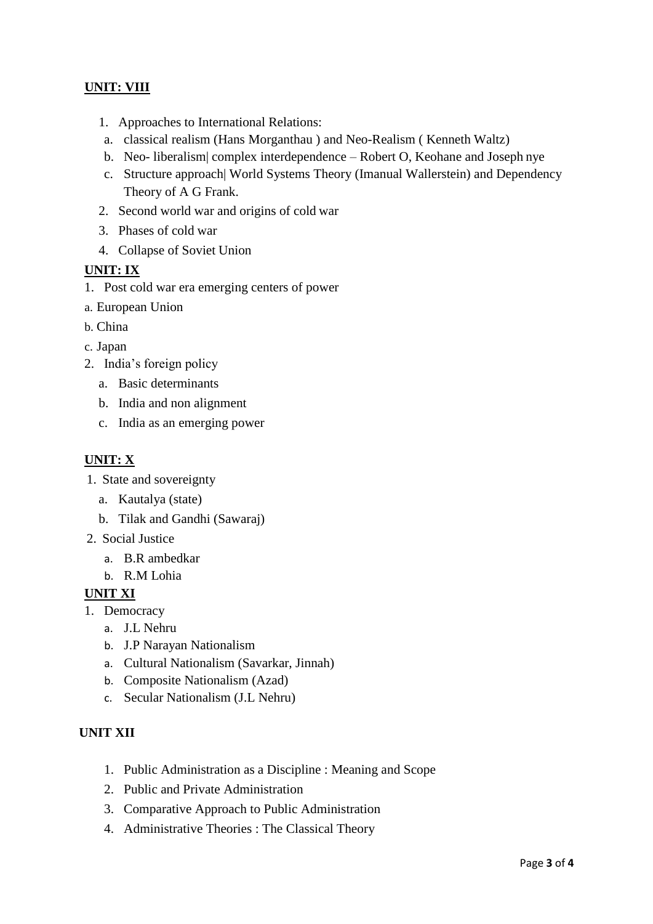# **UNIT: VIII**

- 1. Approaches to International Relations:
- a. classical realism (Hans Morganthau ) and Neo-Realism ( Kenneth Waltz)
- b. Neo- liberalism| complex interdependence Robert O, Keohane and Joseph nye
- c. Structure approach| World Systems Theory (Imanual Wallerstein) and Dependency Theory of A G Frank.
- 2. Second world war and origins of cold war
- 3. Phases of cold war
- 4. Collapse of Soviet Union

#### **UNIT: IX**

- 1. Post cold war era emerging centers of power
- a. European Union
- b. China
- c. Japan
- 2. India's foreign policy
	- a. Basic determinants
	- b. India and non alignment
	- c. India as an emerging power

## **UNIT: X**

- 1. State and sovereignty
	- a. Kautalya (state)
	- b. Tilak and Gandhi (Sawaraj)
- 2. Social Justice
	- a. B.R ambedkar
	- b. R.M Lohia

#### **UNIT XI**

- 1. Democracy
	- a. J.L Nehru
	- b. J.P Narayan Nationalism
	- a. Cultural Nationalism (Savarkar, Jinnah)
	- b. Composite Nationalism (Azad)
	- c. Secular Nationalism (J.L Nehru)

# **UNIT XII**

- 1. Public Administration as a Discipline : Meaning and Scope
- 2. Public and Private Administration
- 3. Comparative Approach to Public Administration
- 4. Administrative Theories : The Classical Theory